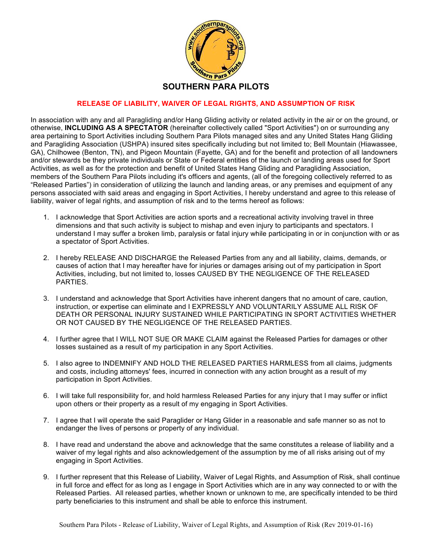

## **RELEASE OF LIABILITY, WAIVER OF LEGAL RIGHTS, AND ASSUMPTION OF RISK**

In association with any and all Paragliding and/or Hang Gliding activity or related activity in the air or on the ground, or otherwise, **INCLUDING AS A SPECTATOR** (hereinafter collectively called "Sport Activities") on or surrounding any area pertaining to Sport Activities including Southern Para Pilots managed sites and any United States Hang Gliding and Paragliding Association (USHPA) insured sites specifically including but not limited to; Bell Mountain (Hiawassee, GA), Chilhowee (Benton, TN), and Pigeon Mountain (Fayette, GA) and for the benefit and protection of all landowners and/or stewards be they private individuals or State or Federal entities of the launch or landing areas used for Sport Activities, as well as for the protection and benefit of United States Hang Gliding and Paragliding Association, members of the Southern Para Pilots including it's officers and agents, (all of the foregoing collectively referred to as "Released Parties") in consideration of utilizing the launch and landing areas, or any premises and equipment of any persons associated with said areas and engaging in Sport Activities, I hereby understand and agree to this release of liability, waiver of legal rights, and assumption of risk and to the terms hereof as follows:

- 1. I acknowledge that Sport Activities are action sports and a recreational activity involving travel in three dimensions and that such activity is subject to mishap and even injury to participants and spectators. I understand I may suffer a broken limb, paralysis or fatal injury while participating in or in conjunction with or as a spectator of Sport Activities.
- 2. I hereby RELEASE AND DISCHARGE the Released Parties from any and all liability, claims, demands, or causes of action that I may hereafter have for injuries or damages arising out of my participation in Sport Activities, including, but not limited to, losses CAUSED BY THE NEGLIGENCE OF THE RELEASED PARTIES.
- 3. I understand and acknowledge that Sport Activities have inherent dangers that no amount of care, caution, instruction, or expertise can eliminate and I EXPRESSLY AND VOLUNTARILY ASSUME ALL RISK OF DEATH OR PERSONAL INJURY SUSTAINED WHILE PARTICIPATING IN SPORT ACTIVITIES WHETHER OR NOT CAUSED BY THE NEGLIGENCE OF THE RELEASED PARTIES.
- 4. I further agree that I WILL NOT SUE OR MAKE CLAIM against the Released Parties for damages or other losses sustained as a result of my participation in any Sport Activities.
- 5. I also agree to INDEMNIFY AND HOLD THE RELEASED PARTIES HARMLESS from all claims, judgments and costs, including attorneys' fees, incurred in connection with any action brought as a result of my participation in Sport Activities.
- 6. I will take full responsibility for, and hold harmless Released Parties for any injury that I may suffer or inflict upon others or their property as a result of my engaging in Sport Activities.
- 7. I agree that I will operate the said Paraglider or Hang Glider in a reasonable and safe manner so as not to endanger the lives of persons or property of any individual.
- 8. I have read and understand the above and acknowledge that the same constitutes a release of liability and a waiver of my legal rights and also acknowledgement of the assumption by me of all risks arising out of my engaging in Sport Activities.
- 9. I further represent that this Release of Liability, Waiver of Legal Rights, and Assumption of Risk, shall continue in full force and effect for as long as I engage in Sport Activities which are in any way connected to or with the Released Parties. All released parties, whether known or unknown to me, are specifically intended to be third party beneficiaries to this instrument and shall be able to enforce this instrument.